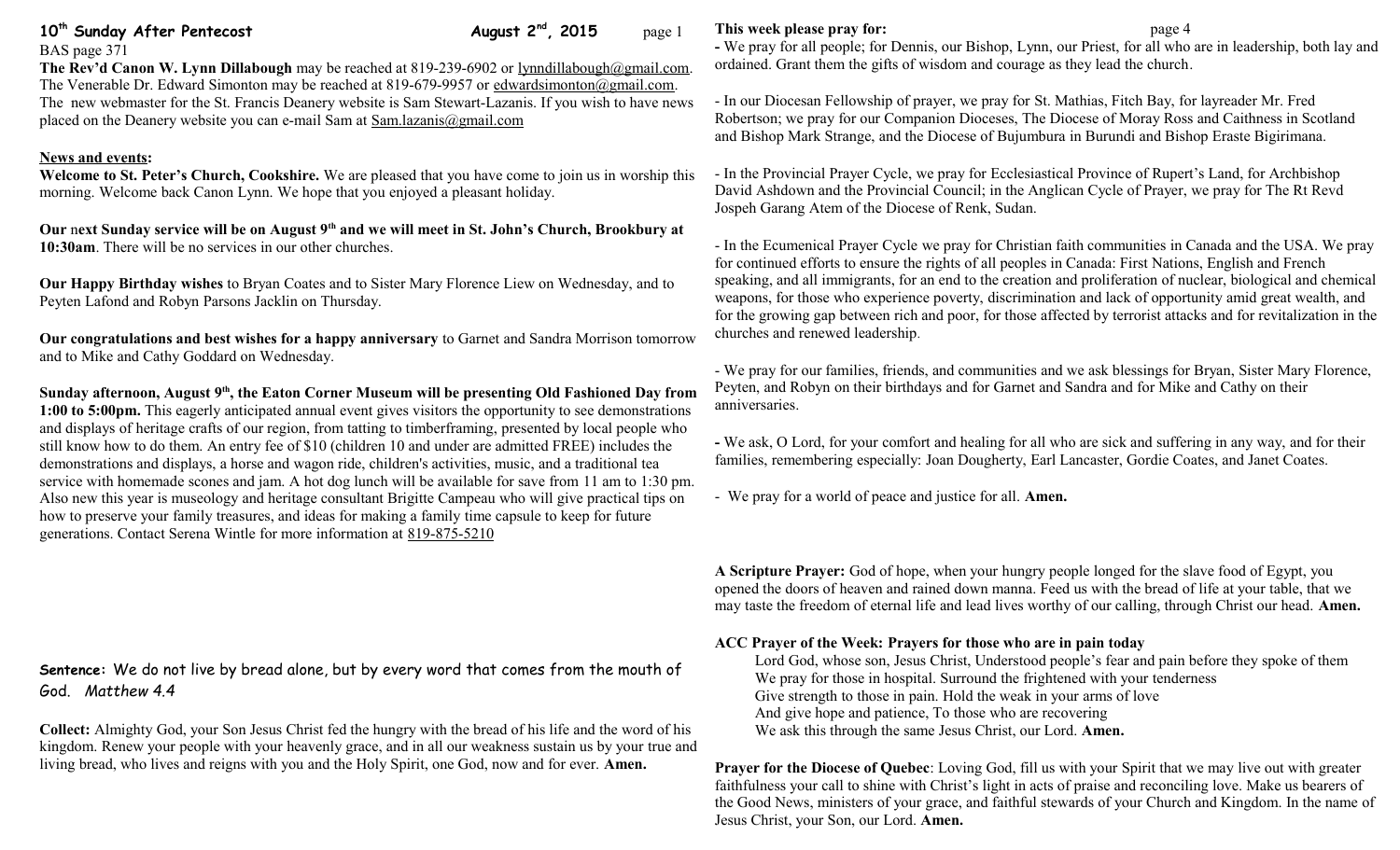## **10<sup>th</sup> Sunday After Pentecost August 2<sup>nd</sup>, 2015** page 1

BAS page 371 **The Rev'd Canon W. Lynn Dillabough** may be reached at 819-239-6902 or [lynndillabough@gmail.com.](mailto:lynndillabough@gmail.com) The Venerable Dr. Edward Simonton may be reached at 819-679-9957 or [edwardsimonton@gmail.com.](mailto:edwardsimonton@gmail.com) The new webmaster for the St. Francis Deanery website is Sam Stewart-Lazanis. If you wish to have news placed on the Deanery website you can e-mail Sam at [Sam.lazanis@gmail.com](mailto:Sam.lazanis@gmail.com)

#### **News and events:**

**Welcome to St. Peter's Church, Cookshire.** We are pleased that you have come to join us in worship this morning. Welcome back Canon Lynn. We hope that you enjoyed a pleasant holiday.

**Our** n**ext Sunday service will be on August 9th and we will meet in St. John's Church, Brookbury at 10:30am**. There will be no services in our other churches.

**Our Happy Birthday wishes** to Bryan Coates and to Sister Mary Florence Liew on Wednesday, and to Peyten Lafond and Robyn Parsons Jacklin on Thursday.

**Our congratulations and best wishes for a happy anniversary** to Garnet and Sandra Morrison tomorrow and to Mike and Cathy Goddard on Wednesday.

**Sunday afternoon, August 9th, the Eaton Corner Museum will be presenting Old Fashioned Day from 1:00 to 5:00pm.** This eagerly anticipated annual event gives visitors the opportunity to see demonstrations and displays of heritage crafts of our region, from tatting to timberframing, presented by local people who still know how to do them. An entry fee of \$10 (children 10 and under are admitted FREE) includes the demonstrations and displays, a horse and wagon ride, children's activities, music, and a traditional tea service with homemade scones and jam. A hot dog lunch will be available for save from 11 am to 1:30 pm. Also new this year is museology and heritage consultant Brigitte Campeau who will give practical tips on how to preserve your family treasures, and ideas for making a family time capsule to keep for future generations. Contact Serena Wintle for more information at [819-875-5210](tel:819-875-5210)

# **Sentence:** We do not live by bread alone, but by every word that comes from the mouth of God. *Matthew 4.4*

**Collect:** Almighty God, your Son Jesus Christ fed the hungry with the bread of his life and the word of his kingdom. Renew your people with your heavenly grace, and in all our weakness sustain us by your true and living bread, who lives and reigns with you and the Holy Spirit, one God, now and for ever. **Amen.**

#### **This week please pray for: page 4**

**-** We pray for all people; for Dennis, our Bishop, Lynn, our Priest, for all who are in leadership, both lay and ordained. Grant them the gifts of wisdom and courage as they lead the church.

- In our Diocesan Fellowship of prayer, we pray for St. Mathias, Fitch Bay, for layreader Mr. Fred Robertson; we pray for our Companion Dioceses, The Diocese of Moray Ross and Caithness in Scotland and Bishop Mark Strange, and the Diocese of Bujumbura in Burundi and Bishop Eraste Bigirimana.

- In the Provincial Prayer Cycle, we pray for Ecclesiastical Province of Rupert's Land, for Archbishop David Ashdown and the Provincial Council; in the Anglican Cycle of Prayer, we pray for The Rt Revd Jospeh Garang Atem of the Diocese of Renk, Sudan.

- In the Ecumenical Prayer Cycle we pray for Christian faith communities in Canada and the USA. We pray for continued efforts to ensure the rights of all peoples in Canada: First Nations, English and French speaking, and all immigrants, for an end to the creation and proliferation of nuclear, biological and chemical weapons, for those who experience poverty, discrimination and lack of opportunity amid great wealth, and for the growing gap between rich and poor, for those affected by terrorist attacks and for revitalization in the churches and renewed leadership.

- We pray for our families, friends, and communities and we ask blessings for Bryan, Sister Mary Florence, Peyten, and Robyn on their birthdays and for Garnet and Sandra and for Mike and Cathy on their anniversaries.

**-** We ask, O Lord, for your comfort and healing for all who are sick and suffering in any way, and for their families, remembering especially: Joan Dougherty, Earl Lancaster, Gordie Coates, and Janet Coates.

- We pray for a world of peace and justice for all. **Amen.**

**A Scripture Prayer:** God of hope, when your hungry people longed for the slave food of Egypt, you opened the doors of heaven and rained down manna. Feed us with the bread of life at your table, that we may taste the freedom of eternal life and lead lives worthy of our calling, through Christ our head. **Amen.**

#### **ACC Prayer of the Week: Prayers for those who are in pain today**

Lord God, whose son, Jesus Christ, Understood people's fear and pain before they spoke of them We pray for those in hospital. Surround the frightened with your tenderness Give strength to those in pain. Hold the weak in your arms of love And give hope and patience, To those who are recovering We ask this through the same Jesus Christ, our Lord. **Amen.**

**Prayer for the Diocese of Quebec**: Loving God, fill us with your Spirit that we may live out with greater faithfulness your call to shine with Christ's light in acts of praise and reconciling love. Make us bearers of the Good News, ministers of your grace, and faithful stewards of your Church and Kingdom. In the name of Jesus Christ, your Son, our Lord. **Amen.**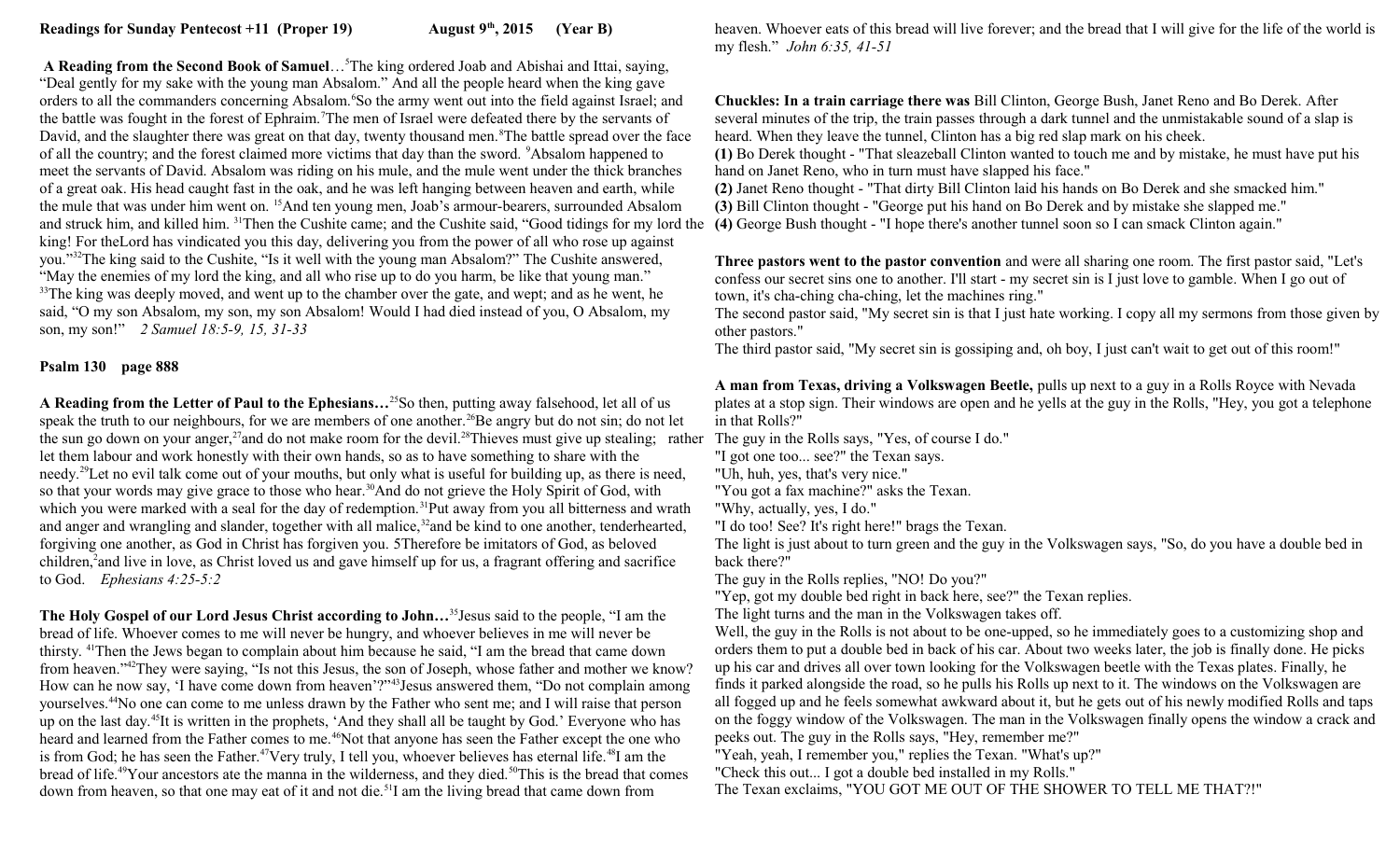**A Reading from the Second Book of Samuel**…<sup>5</sup>The king ordered Joab and Abishai and Ittai, saying, "Deal gently for my sake with the young man Absalom." And all the people heard when the king gave orders to all the commanders concerning Absalom.<sup>6</sup>So the army went out into the field against Israel; and the battle was fought in the forest of Ephraim.<sup>7</sup>The men of Israel were defeated there by the servants of David, and the slaughter there was great on that day, twenty thousand men.<sup>8</sup>The battle spread over the face of all the country; and the forest claimed more victims that day than the sword. <sup>9</sup>Absalom happened to meet the servants of David. Absalom was riding on his mule, and the mule went under the thick branches of a great oak. His head caught fast in the oak, and he was left hanging between heaven and earth, while the mule that was under him went on. <sup>15</sup>And ten young men, Joab's armour-bearers, surrounded Absalom and struck him, and killed him. <sup>31</sup>Then the Cushite came; and the Cushite said, "Good tidings for my lord the (4) George Bush thought - "I hope there's another tunnel soon so I can smack Clinton again." king! For theLord has vindicated you this day, delivering you from the power of all who rose up against you."<sup>32</sup>The king said to the Cushite, "Is it well with the young man Absalom?" The Cushite answered, "May the enemies of my lord the king, and all who rise up to do you harm, be like that young man." <sup>33</sup>The king was deeply moved, and went up to the chamber over the gate, and wept; and as he went, he said, "O my son Absalom, my son, my son Absalom! Would I had died instead of you, O Absalom, my son, my son!" *2 Samuel 18:5-9, 15, 31-33*

### **Psalm 130 page 888**

**A Reading from the Letter of Paul to the Ephesians…**<sup>25</sup>So then, putting away falsehood, let all of us speak the truth to our neighbours, for we are members of one another.<sup>26</sup>Be angry but do not sin; do not let the sun go down on your anger,<sup>27</sup>and do not make room for the devil.<sup>28</sup>Thieves must give up stealing; rather The guy in the Rolls says, "Yes, of course I do." let them labour and work honestly with their own hands, so as to have something to share with the needy.<sup>29</sup>Let no evil talk come out of your mouths, but only what is useful for building up, as there is need, so that your words may give grace to those who hear.<sup>30</sup>And do not grieve the Holy Spirit of God, with which you were marked with a seal for the day of redemption.<sup>31</sup>Put away from you all bitterness and wrath and anger and wrangling and slander, together with all malice,<sup>32</sup>and be kind to one another, tenderhearted, forgiving one another, as God in Christ has forgiven you. 5Therefore be imitators of God, as beloved children,<sup>2</sup> and live in love, as Christ loved us and gave himself up for us, a fragrant offering and sacrifice to God. *Ephesians 4:25-5:2*

**The Holy Gospel of our Lord Jesus Christ according to John…**<sup>35</sup>Jesus said to the people, "I am the bread of life. Whoever comes to me will never be hungry, and whoever believes in me will never be thirsty. <sup>41</sup>Then the Jews began to complain about him because he said, "I am the bread that came down from heaven."<sup>42</sup>They were saying, "Is not this Jesus, the son of Joseph, whose father and mother we know? How can he now say, 'I have come down from heaven'?"<sup>43</sup>Jesus answered them, "Do not complain among yourselves.<sup>44</sup>No one can come to me unless drawn by the Father who sent me; and I will raise that person up on the last day.<sup>45</sup>It is written in the prophets, 'And they shall all be taught by God.' Everyone who has heard and learned from the Father comes to me.<sup>46</sup>Not that anyone has seen the Father except the one who is from God; he has seen the Father.<sup>47</sup>Very truly, I tell you, whoever believes has eternal life.<sup>48</sup>I am the bread of life.<sup>49</sup>Your ancestors ate the manna in the wilderness, and they died.<sup>50</sup>This is the bread that comes down from heaven, so that one may eat of it and not die.<sup>51</sup>I am the living bread that came down from

heaven. Whoever eats of this bread will live forever; and the bread that I will give for the life of the world is my flesh." *John 6:35, 41-51* 

**Chuckles: In a train carriage there was** Bill Clinton, George Bush, Janet Reno and Bo Derek. After several minutes of the trip, the train passes through a dark tunnel and the unmistakable sound of a slap is heard. When they leave the tunnel, Clinton has a big red slap mark on his cheek.

**(1)** Bo Derek thought - "That sleazeball Clinton wanted to touch me and by mistake, he must have put his hand on Janet Reno, who in turn must have slapped his face."

**(2)** Janet Reno thought - "That dirty Bill Clinton laid his hands on Bo Derek and she smacked him."

**(3)** Bill Clinton thought - "George put his hand on Bo Derek and by mistake she slapped me."

**Three pastors went to the pastor convention** and were all sharing one room. The first pastor said, "Let's confess our secret sins one to another. I'll start - my secret sin is I just love to gamble. When I go out of town, it's cha-ching cha-ching, let the machines ring."

The second pastor said, "My secret sin is that I just hate working. I copy all my sermons from those given by other pastors."

The third pastor said, "My secret sin is gossiping and, oh boy, I just can't wait to get out of this room!"

**A man from Texas, driving a Volkswagen Beetle,** pulls up next to a guy in a Rolls Royce with Nevada plates at a stop sign. Their windows are open and he yells at the guy in the Rolls, "Hey, you got a telephone in that Rolls?"

"I got one too... see?" the Texan says.

"Uh, huh, yes, that's very nice."

"You got a fax machine?" asks the Texan.

"Why, actually, yes, I do."

"I do too! See? It's right here!" brags the Texan.

The light is just about to turn green and the guy in the Volkswagen says, "So, do you have a double bed in back there?"

The guy in the Rolls replies, "NO! Do you?"

"Yep, got my double bed right in back here, see?" the Texan replies.

The light turns and the man in the Volkswagen takes off.

Well, the guy in the Rolls is not about to be one-upped, so he immediately goes to a customizing shop and orders them to put a double bed in back of his car. About two weeks later, the job is finally done. He picks up his car and drives all over town looking for the Volkswagen beetle with the Texas plates. Finally, he finds it parked alongside the road, so he pulls his Rolls up next to it. The windows on the Volkswagen are all fogged up and he feels somewhat awkward about it, but he gets out of his newly modified Rolls and taps on the foggy window of the Volkswagen. The man in the Volkswagen finally opens the window a crack and peeks out. The guy in the Rolls says, "Hey, remember me?"

"Yeah, yeah, I remember you," replies the Texan. "What's up?"

"Check this out... I got a double bed installed in my Rolls."

The Texan exclaims, "YOU GOT ME OUT OF THE SHOWER TO TELL ME THAT?!"